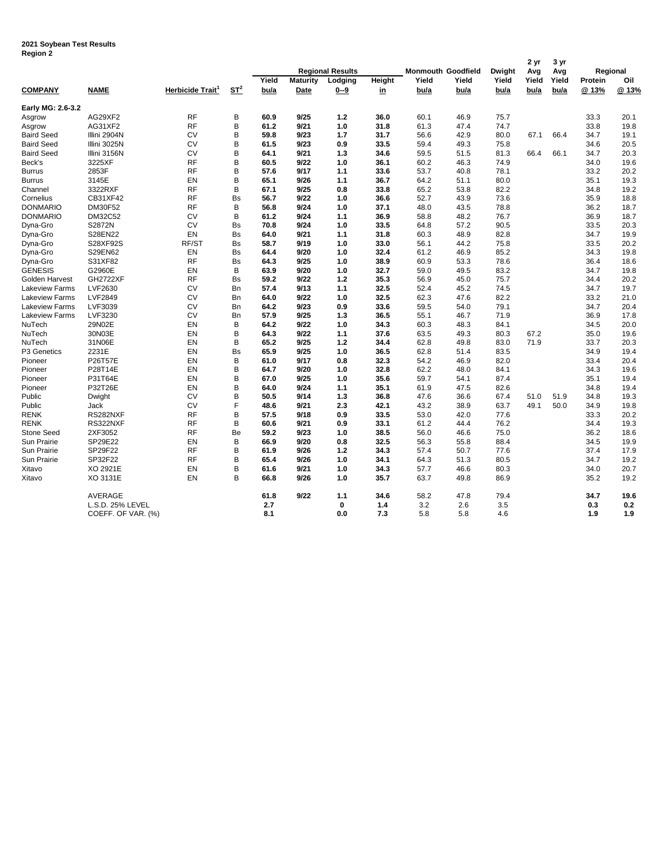## **2021 Soybean Test Results Region 2**

| negiun 4              |                    |                              |           |       |                 | <b>Regional Results</b> |        |       | <b>Monmouth Goodfield</b> | Dwight | 2 yr<br>Avg | 3 yr<br>Avg | Regional |       |
|-----------------------|--------------------|------------------------------|-----------|-------|-----------------|-------------------------|--------|-------|---------------------------|--------|-------------|-------------|----------|-------|
|                       |                    |                              |           | Yield | <b>Maturity</b> | Lodging                 | Height | Yield | Yield                     | Yield  | Yield       | Yield       | Protein  | Oil   |
| <b>COMPANY</b>        | <b>NAME</b>        | Herbicide Trait <sup>1</sup> | $ST^2$    | bu/a  | <u>Date</u>     | <u>0--9</u>             | in     | bu/a  | <u>bu/a</u>               | bu/a   | <u>bu/a</u> | bu/a        | @ 13%    | @ 13% |
| Early MG: 2.6-3.2     |                    |                              |           |       |                 |                         |        |       |                           |        |             |             |          |       |
| Asgrow                | AG29XF2            | <b>RF</b>                    | B         | 60.9  | 9/25            | 1.2                     | 36.0   | 60.1  | 46.9                      | 75.7   |             |             | 33.3     | 20.1  |
| Asgrow                | AG31XF2            | <b>RF</b>                    | B         | 61.2  | 9/21            | 1.0                     | 31.8   | 61.3  | 47.4                      | 74.7   |             |             | 33.8     | 19.8  |
| <b>Baird Seed</b>     | Illini 2904N       | CV                           | B         | 59.8  | 9/23            | 1.7                     | 31.7   | 56.6  | 42.9                      | 80.0   | 67.1        | 66.4        | 34.7     | 19.1  |
| <b>Baird Seed</b>     | Illini 3025N       | CV                           | B         | 61.5  | 9/23            | 0.9                     | 33.5   | 59.4  | 49.3                      | 75.8   |             |             | 34.6     | 20.5  |
| <b>Baird Seed</b>     | Illini 3156N       | <b>CV</b>                    | B         | 64.1  | 9/21            | 1.3                     | 34.6   | 59.5  | 51.5                      | 81.3   | 66.4        | 66.1        | 34.7     | 20.3  |
| Beck's                | 3225XF             | <b>RF</b>                    | B         | 60.5  | 9/22            | 1.0                     | 36.1   | 60.2  | 46.3                      | 74.9   |             |             | 34.0     | 19.6  |
| <b>Burrus</b>         | 2853F              | <b>RF</b>                    | B         | 57.6  | 9/17            | 1.1                     | 33.6   | 53.7  | 40.8                      | 78.1   |             |             | 33.2     | 20.2  |
| <b>Burrus</b>         | 3145E              | EN                           | B         | 65.1  | 9/26            | 1.1                     | 36.7   | 64.2  | 51.1                      | 80.0   |             |             | 35.1     | 19.3  |
| Channel               | 3322RXF            | RF                           | B         | 67.1  | 9/25            | 0.8                     | 33.8   | 65.2  | 53.8                      | 82.2   |             |             | 34.8     | 19.2  |
| Cornelius             | CB31XF42           | <b>RF</b>                    | <b>Bs</b> | 56.7  | 9/22            | 1.0                     | 36.6   | 52.7  | 43.9                      | 73.6   |             |             | 35.9     | 18.8  |
| <b>DONMARIO</b>       | DM30F52            | <b>RF</b>                    | B         | 56.8  | 9/24            | 1.0                     | 37.1   | 48.0  | 43.5                      | 78.8   |             |             | 36.2     | 18.7  |
| <b>DONMARIO</b>       | DM32C52            | CV                           | B         | 61.2  | 9/24            | 1.1                     | 36.9   | 58.8  | 48.2                      | 76.7   |             |             | 36.9     | 18.7  |
| Dyna-Gro              | S2872N             | <b>CV</b>                    | <b>Bs</b> | 70.8  | 9/24            | 1.0                     | 33.5   | 64.8  | 57.2                      | 90.5   |             |             | 33.5     | 20.3  |
| Dyna-Gro              | S28EN22            | EN                           | Bs        | 64.0  | 9/21            | 1.1                     | 31.8   | 60.3  | 48.9                      | 82.8   |             |             | 34.7     | 19.9  |
| Dyna-Gro              | <b>S28XF92S</b>    | RF/ST                        | <b>Bs</b> | 58.7  | 9/19            | 1.0                     | 33.0   | 56.1  | 44.2                      | 75.8   |             |             | 33.5     | 20.2  |
| Dyna-Gro              | S29EN62            | EN                           | <b>Bs</b> | 64.4  | 9/20            | 1.0                     | 32.4   | 61.2  | 46.9                      | 85.2   |             |             | 34.3     | 19.8  |
| Dyna-Gro              | S31XF82            | <b>RF</b>                    | Bs        | 64.3  | 9/25            | 1.0                     | 38.9   | 60.9  | 53.3                      | 78.6   |             |             | 36.4     | 18.6  |
| <b>GENESIS</b>        | G2960E             | EN                           | B         | 63.9  | 9/20            | 1.0                     | 32.7   | 59.0  | 49.5                      | 83.2   |             |             | 34.7     | 19.8  |
| Golden Harvest        | <b>GH2722XF</b>    | <b>RF</b>                    | <b>Bs</b> | 59.2  | 9/22            | 1.2                     | 35.3   | 56.9  | 45.0                      | 75.7   |             |             | 34.4     | 20.2  |
| <b>Lakeview Farms</b> | LVF2630            | CV                           | <b>Bn</b> | 57.4  | 9/13            | 1.1                     | 32.5   | 52.4  | 45.2                      | 74.5   |             |             | 34.7     | 19.7  |
| <b>Lakeview Farms</b> | <b>LVF2849</b>     | CV                           | Bn        | 64.0  | 9/22            | 1.0                     | 32.5   | 62.3  | 47.6                      | 82.2   |             |             | 33.2     | 21.0  |
| <b>Lakeview Farms</b> | LVF3039            | CV                           | Bn        | 64.2  | 9/23            | 0.9                     | 33.6   | 59.5  | 54.0                      | 79.1   |             |             | 34.7     | 20.4  |
| <b>Lakeview Farms</b> | LVF3230            | <b>CV</b>                    | Bn        | 57.9  | 9/25            | 1.3                     | 36.5   | 55.1  | 46.7                      | 71.9   |             |             | 36.9     | 17.8  |
| NuTech                | 29N02E             | EN                           | B         | 64.2  | 9/22            | 1.0                     | 34.3   | 60.3  | 48.3                      | 84.1   |             |             | 34.5     | 20.0  |
| NuTech                | 30N03E             | EN                           | B         | 64.3  | 9/22            | 1.1                     | 37.6   | 63.5  | 49.3                      | 80.3   | 67.2        |             | 35.0     | 19.6  |
| NuTech                | 31N06E             | EN                           | B         | 65.2  | 9/25            | 1.2                     | 34.4   | 62.8  | 49.8                      | 83.0   | 71.9        |             | 33.7     | 20.3  |
| P3 Genetics           | 2231E              | EN                           | <b>Bs</b> | 65.9  | 9/25            | 1.0                     | 36.5   | 62.8  | 51.4                      | 83.5   |             |             | 34.9     | 19.4  |
| Pioneer               | <b>P26T57E</b>     | EN                           | B         | 61.0  | 9/17            | 0.8                     | 32.3   | 54.2  | 46.9                      | 82.0   |             |             | 33.4     | 20.4  |
| Pioneer               | P28T14E            | EN                           | B         | 64.7  | 9/20            | 1.0                     | 32.8   | 62.2  | 48.0                      | 84.1   |             |             | 34.3     | 19.6  |
| Pioneer               | P31T64E            | EN                           | B         | 67.0  | 9/25            | 1.0                     | 35.6   | 59.7  | 54.1                      | 87.4   |             |             | 35.1     | 19.4  |
| Pioneer               | P32T26E            | EN                           | B         | 64.0  | 9/24            | 1.1                     | 35.1   | 61.9  | 47.5                      | 82.6   |             |             | 34.8     | 19.4  |
| Public                | Dwight             | <b>CV</b>                    | B         | 50.5  | 9/14            | 1.3                     | 36.8   | 47.6  | 36.6                      | 67.4   | 51.0        | 51.9        | 34.8     | 19.3  |
| Public                | Jack               | <b>CV</b>                    | F         | 48.6  | 9/21            | 2.3                     | 42.1   | 43.2  | 38.9                      | 63.7   | 49.1        | 50.0        | 34.9     | 19.8  |
| <b>RENK</b>           | RS282NXF           | <b>RF</b>                    | B         | 57.5  | 9/18            | 0.9                     | 33.5   | 53.0  | 42.0                      | 77.6   |             |             | 33.3     | 20.2  |
| <b>RENK</b>           | RS322NXF           | <b>RF</b>                    | B         | 60.6  | 9/21            | 0.9                     | 33.1   | 61.2  | 44.4                      | 76.2   |             |             | 34.4     | 19.3  |
| Stone Seed            | 2XF3052            | <b>RF</b>                    | Be        | 59.2  | 9/23            | 1.0                     | 38.5   | 56.0  | 46.6                      | 75.0   |             |             | 36.2     | 18.6  |
| Sun Prairie           | SP29E22            | EN                           | B         | 66.9  | 9/20            | 0.8                     | 32.5   | 56.3  | 55.8                      | 88.4   |             |             | 34.5     | 19.9  |
| Sun Prairie           | SP29F22            | <b>RF</b>                    | B         | 61.9  | 9/26            | 1.2                     | 34.3   | 57.4  | 50.7                      | 77.6   |             |             | 37.4     | 17.9  |
| Sun Prairie           | SP32F22            | RF                           | B         | 65.4  | 9/26            | 1.0                     | 34.1   | 64.3  | 51.3                      | 80.5   |             |             | 34.7     | 19.2  |
| Xitavo                | XO 2921E           | EN                           | B         | 61.6  | 9/21            | 1.0                     | 34.3   | 57.7  | 46.6                      | 80.3   |             |             | 34.0     | 20.7  |
| Xitavo                | XO 3131E           | EN                           | B         | 66.8  | 9/26            | 1.0                     | 35.7   | 63.7  | 49.8                      | 86.9   |             |             | 35.2     | 19.2  |
|                       | <b>AVERAGE</b>     |                              |           | 61.8  | 9/22            | 1.1                     | 34.6   | 58.2  | 47.8                      | 79.4   |             |             | 34.7     | 19.6  |
|                       | L.S.D. 25% LEVEL   |                              |           | 2.7   |                 | 0                       | 1.4    | 3.2   | 2.6                       | 3.5    |             |             | 0.3      | 0.2   |
|                       | COEFF. OF VAR. (%) |                              |           | 8.1   |                 | 0.0                     | 7.3    | 5.8   | 5.8                       | 4.6    |             |             | 1.9      | 1.9   |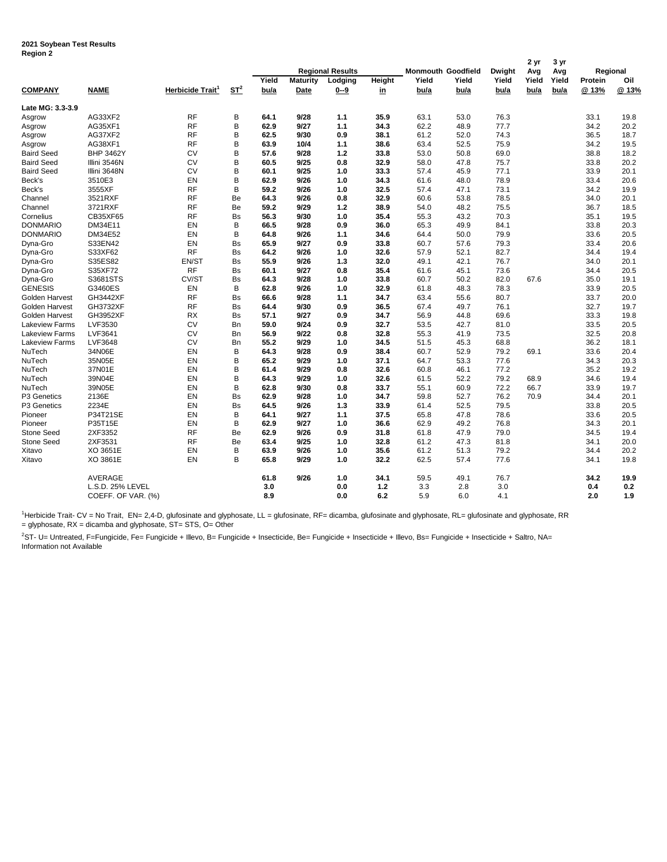## **2021 Soybean Test Results Region 2**

|                         |                    |                              |           | <b>Regional Results</b> |                 |                    |        | <b>Monmouth Goodfield</b> |             | <b>Dwight</b> | 2 yr         | 3 yr         | Regional |       |
|-------------------------|--------------------|------------------------------|-----------|-------------------------|-----------------|--------------------|--------|---------------------------|-------------|---------------|--------------|--------------|----------|-------|
|                         |                    |                              |           | Yield                   | <b>Maturity</b> |                    | Height | Yield                     | Yield       | Yield         | Avg<br>Yield | Avg<br>Yield | Protein  | Oil   |
| <b>COMPANY</b>          | <b>NAME</b>        | Herbicide Trait <sup>1</sup> | $ST^2$    | bu/a                    | <u>Date</u>     | Lodging<br>$0 - 9$ | in     | bu/a                      | <u>bu/a</u> | bu/a          | <u>bu/a</u>  | bu/a         | @ 13%    | @ 13% |
| Late MG: 3.3-3.9        |                    |                              |           |                         |                 |                    |        |                           |             |               |              |              |          |       |
| Asgrow                  | AG33XF2            | <b>RF</b>                    | B         | 64.1                    | 9/28            | 1.1                | 35.9   | 63.1                      | 53.0        | 76.3          |              |              | 33.1     | 19.8  |
| Asgrow                  | AG35XF1            | <b>RF</b>                    | B         | 62.9                    | 9/27            | 1.1                | 34.3   | 62.2                      | 48.9        | 77.7          |              |              | 34.2     | 20.2  |
| Asgrow                  | AG37XF2            | <b>RF</b>                    | B         | 62.5                    | 9/30            | 0.9                | 38.1   | 61.2                      | 52.0        | 74.3          |              |              | 36.5     | 18.7  |
| Asgrow                  | AG38XF1            | <b>RF</b>                    | B         | 63.9                    | 10/4            | 1.1                | 38.6   | 63.4                      | 52.5        | 75.9          |              |              | 34.2     | 19.5  |
| <b>Baird Seed</b>       | <b>BHP 3462Y</b>   | <b>CV</b>                    | B         | 57.6                    | 9/28            | 1.2                | 33.8   | 53.0                      | 50.8        | 69.0          |              |              | 38.8     | 18.2  |
| <b>Baird Seed</b>       | Illini 3546N       | <b>CV</b>                    | B         | 60.5                    | 9/25            | 0.8                | 32.9   | 58.0                      | 47.8        | 75.7          |              |              | 33.8     | 20.2  |
| <b>Baird Seed</b>       | Illini 3648N       | CV                           | B         | 60.1                    | 9/25            | 1.0                | 33.3   | 57.4                      | 45.9        | 77.1          |              |              | 33.9     | 20.1  |
| Beck's                  | 3510E3             | EN                           | B         | 62.9                    | 9/26            | 1.0                | 34.3   | 61.6                      | 48.0        | 78.9          |              |              | 33.4     | 20.6  |
| Beck's                  | 3555XF             | <b>RF</b>                    | B         | 59.2                    | 9/26            | 1.0                | 32.5   | 57.4                      | 47.1        | 73.1          |              |              | 34.2     | 19.9  |
| Channel                 | 3521RXF            | <b>RF</b>                    | Be        | 64.3                    | 9/26            | 0.8                | 32.9   | 60.6                      | 53.8        | 78.5          |              |              | 34.0     | 20.1  |
| Channel                 | 3721RXF            | <b>RF</b>                    | Be        | 59.2                    | 9/29            | 1.2                | 38.9   | 54.0                      | 48.2        | 75.5          |              |              | 36.7     | 18.5  |
| Cornelius               | <b>CB35XF65</b>    | <b>RF</b>                    | <b>Bs</b> | 56.3                    | 9/30            | 1.0                | 35.4   | 55.3                      | 43.2        | 70.3          |              |              | 35.1     | 19.5  |
| <b>DONMARIO</b>         | DM34E11            | EN                           | B         | 66.5                    | 9/28            | 0.9                | 36.0   | 65.3                      | 49.9        | 84.1          |              |              | 33.8     | 20.3  |
| <b>DONMARIO</b>         | DM34E52            | EN                           | B         | 64.8                    | 9/26            | 1.1                | 34.6   | 64.4                      | 50.0        | 79.9          |              |              | 33.6     | 20.5  |
| Dyna-Gro                | S33EN42            | EN                           | <b>Bs</b> | 65.9                    | 9/27            | 0.9                | 33.8   | 60.7                      | 57.6        | 79.3          |              |              | 33.4     | 20.6  |
| Dyna-Gro                | S33XF62            | <b>RF</b>                    | <b>Bs</b> | 64.2                    | 9/26            | 1.0                | 32.6   | 57.9                      | 52.1        | 82.7          |              |              | 34.4     | 19.4  |
| Dyna-Gro                | S35ES82            | EN/ST                        | Bs        | 55.9                    | 9/26            | 1.3                | 32.0   | 49.1                      | 42.1        | 76.7          |              |              | 34.0     | 20.1  |
| Dyna-Gro                | S35XF72            | <b>RF</b>                    | <b>Bs</b> | 60.1                    | 9/27            | 0.8                | 35.4   | 61.6                      | 45.1        | 73.6          |              |              | 34.4     | 20.5  |
| Dyna-Gro                | S3681STS           | CV/ST                        | <b>Bs</b> | 64.3                    | 9/28            | 1.0                | 33.8   | 60.7                      | 50.2        | 82.0          | 67.6         |              | 35.0     | 19.1  |
| <b>GENESIS</b>          | G3460ES            | EN                           | B         | 62.8                    | 9/26            | 1.0                | 32.9   | 61.8                      | 48.3        | 78.3          |              |              | 33.9     | 20.5  |
| Golden Harvest          | GH3442XF           | <b>RF</b>                    | <b>Bs</b> | 66.6                    | 9/28            | 1.1                | 34.7   | 63.4                      | 55.6        | 80.7          |              |              | 33.7     | 20.0  |
| Golden Harvest          | <b>GH3732XF</b>    | <b>RF</b>                    | <b>Bs</b> | 64.4                    | 9/30            | 0.9                | 36.5   | 67.4                      | 49.7        | 76.1          |              |              | 32.7     | 19.7  |
| Golden Harvest          | GH3952XF           | RX                           | Bs        | 57.1                    | 9/27            | 0.9                | 34.7   | 56.9                      | 44.8        | 69.6          |              |              | 33.3     | 19.8  |
| <b>Lakeview Farms</b>   | LVF3530            | <b>CV</b>                    | Bn        | 59.0                    | 9/24            | 0.9                | 32.7   | 53.5                      | 42.7        | 81.0          |              |              | 33.5     | 20.5  |
| <b>Lakeview Farms</b>   | LVF3641            | <b>CV</b>                    | Bn        | 56.9                    | 9/22            | 0.8                | 32.8   | 55.3                      | 41.9        | 73.5          |              |              | 32.5     | 20.8  |
| <b>Lakeview Farms</b>   | LVF3648            | <b>CV</b>                    | Bn        | 55.2                    | 9/29            | 1.0                | 34.5   | 51.5                      | 45.3        | 68.8          |              |              | 36.2     | 18.1  |
| NuTech                  | 34N06E             | EN                           | B         | 64.3                    | 9/28            | 0.9                | 38.4   | 60.7                      | 52.9        | 79.2          | 69.1         |              | 33.6     | 20.4  |
| NuTech                  | 35N05E             | EN                           | B         | 65.2                    | 9/29            | 1.0                | 37.1   | 64.7                      | 53.3        | 77.6          |              |              | 34.3     | 20.3  |
| NuTech                  | 37N01E             | EN                           | B         | 61.4                    | 9/29            | 0.8                | 32.6   | 60.8                      | 46.1        | 77.2          |              |              | 35.2     | 19.2  |
| NuTech                  | 39N04E             | EN                           | B         | 64.3                    | 9/29            | 1.0                | 32.6   | 61.5                      | 52.2        | 79.2          | 68.9         |              | 34.6     | 19.4  |
| NuTech                  | 39N05E             | EN                           | B         | 62.8                    | 9/30            | 0.8                | 33.7   | 55.1                      | 60.9        | 72.2          | 66.7         |              | 33.9     | 19.7  |
| P <sub>3</sub> Genetics | 2136E              | EN                           | Bs        | 62.9                    | 9/28            | 1.0                | 34.7   | 59.8                      | 52.7        | 76.2          | 70.9         |              | 34.4     | 20.1  |
| P3 Genetics             | 2234E              | EN                           | Bs        | 64.5                    | 9/26            | 1.3                | 33.9   | 61.4                      | 52.5        | 79.5          |              |              | 33.8     | 20.5  |
| Pioneer                 | P34T21SE           | EN                           | в         | 64.1                    | 9/27            | 1.1                | 37.5   | 65.8                      | 47.8        | 78.6          |              |              | 33.6     | 20.5  |
| Pioneer                 | P35T15E            | EN                           | B         | 62.9                    | 9/27            | 1.0                | 36.6   | 62.9                      | 49.2        | 76.8          |              |              | 34.3     | 20.1  |
| <b>Stone Seed</b>       | 2XF3352            | <b>RF</b>                    | Be        | 62.9                    | 9/26            | 0.9                | 31.8   | 61.8                      | 47.9        | 79.0          |              |              | 34.5     | 19.4  |
| <b>Stone Seed</b>       | 2XF3531            | RF                           | Be        | 63.4                    | 9/25            | 1.0                | 32.8   | 61.2                      | 47.3        | 81.8          |              |              | 34.1     | 20.0  |
| Xitavo                  | XO 3651E           | EN                           | В         | 63.9                    | 9/26            | 1.0                | 35.6   | 61.2                      | 51.3        | 79.2          |              |              | 34.4     | 20.2  |
| Xitavo                  | XO 3861E           | EN                           | B         | 65.8                    | 9/29            | 1.0                | 32.2   | 62.5                      | 57.4        | 77.6          |              |              | 34.1     | 19.8  |
|                         | AVERAGE            |                              |           | 61.8                    | 9/26            | 1.0                | 34.1   | 59.5                      | 49.1        | 76.7          |              |              | 34.2     | 19.9  |
|                         | L.S.D. 25% LEVEL   |                              |           | 3.0                     |                 | 0.0                | 1.2    | 3.3                       | 2.8         | 3.0           |              |              | 0.4      | 0.2   |
|                         | COEFF. OF VAR. (%) |                              |           | 8.9                     |                 | 0.0                | 6.2    | 5.9                       | 6.0         | 4.1           |              |              | 2.0      | 1.9   |

1Herbicide Trait- CV = No Trait, EN= 2,4-D, glufosinate and glyphosate, LL = glufosinate, RF= dicamba, glufosinate and glyphosate, RL= glufosinate and glyphosate, RR = glyphosate, RX = dicamba and glyphosate, ST= STS, O= Other

 $^{2}$ ST- U= Untreated, F=Fungicide, Fe= Fungicide + Illevo, B= Fungicide + Insecticide, Be= Fungicide + Insecticide + Illevo, Bs= Fungicide + Insecticide + Saltro, NA= Information not Available